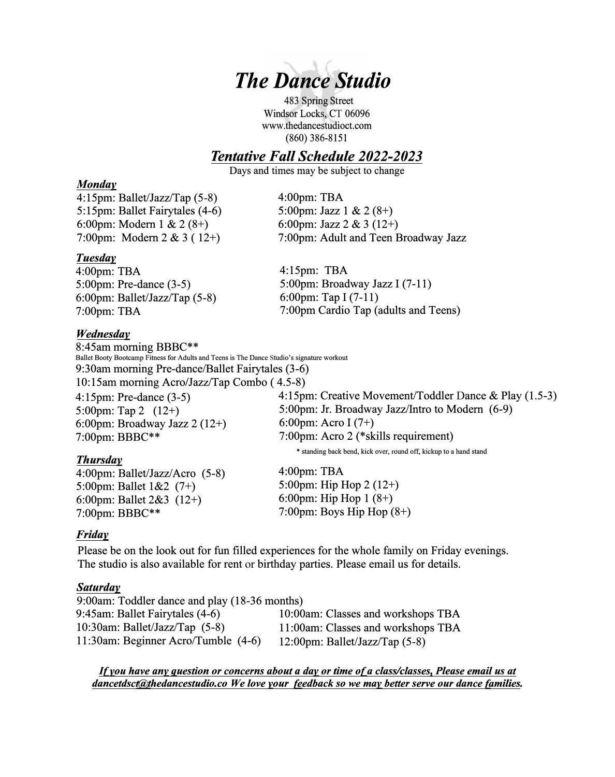

483 Spring Street Windsor Locks, CT 06096 www.thedancestudioct.com (860) 386-8151

# *Tentative Fall Schedule 2022-2023*

Days and times may be subject to change

5:00pm: Jazz 1 & 2 (8+) 6:00pm: Jazz 2 & 3 (12+)

4:00pm: TBA

#### *Monday*

4:15pm: Ballet/Jazz/Tap (5-8) 5:15pm: Ballet Fairytales (4-6) 6:00pm: Modem 1 & 2 (8+) 7:00pm: Modem 2 & 3 ( 12+)

*Tuesday* 

4:00pm: TBA 5 :00pm: Pre-dance (3-5) 6:00pm: Ballet/Jazz/Tap (5-8) 7:00pm: TBA

#### *Wednesday*

4:15pm: TBA 5:00pm: Broadway Jazz I (7-11) 6:00pm: Tap I (7-11) 7:00pm Cardio Tap (adults and Teens)

7:00pm: Adult and Teen Broadway Jazz

8:45am morning BBBC\*\* Ballet Booty Bootcamp Fitness for Adults and Teens is The Dance Studio's signature workout 9:30am morning Pre-dance/Ballet Fairytales (3-6) 10: 15am morning Aero/Jazz/Tap Combo ( 4.5-8) 4:15pm: Creative Movement/Toddler Dance & Play (1.5-3) 5:00pm: Jr. Broadway Jazz/Intro to Modem (6-9) 6:00pm: Aero I (7+) 7:00pm: Aero 2 (\*skills requirement) 4:15pm: Pre-dance (3-5) 5:00pm: Tap 2 (12+) 6:00pm: Broadway Jazz 2 (12+) 7:00pm: BBBC\*\* *Thursday*  \* standing back bend, kick over, round off, kickup to a hand stand

4:00pm: Ballet/Jazz/Aero (5-8) 5:00pm: Ballet 1&2 (7+) 6:00pm: Ballet 2&3 (12+) 7:00pm: BBBC\*\*

4:00pm: TBA 5:00pm: Hip Hop 2 (12+) 6:00pm: Hip Hop 1 (8+) 7:00pm: Boys Hip Hop (8+)

## *Friday*

Please be on the look out for fun filled experiences for the whole family on Friday evenings. The studio is also available for rent or birthday parties. Please email us for details.

## *Saturday*

| 9:00am: Toddler dance and play (18-36 months) |                                    |
|-----------------------------------------------|------------------------------------|
| 9:45am: Ballet Fairytales (4-6)               | 10:00am: Classes and workshops TBA |
| 10:30am: Ballet/Jazz/Tap $(5-8)$              | 11:00am: Classes and workshops TBA |
| 11:30am: Beginner Acro/Tumble (4-6)           | 12:00pm: Ballet/Jazz/Tap $(5-8)$   |

*If you have any question or concerns about a day or time of a class/classes, Please email us at dancetdsct@Jhedancestudio.co We love your feedback so we may better serve our dance families.*